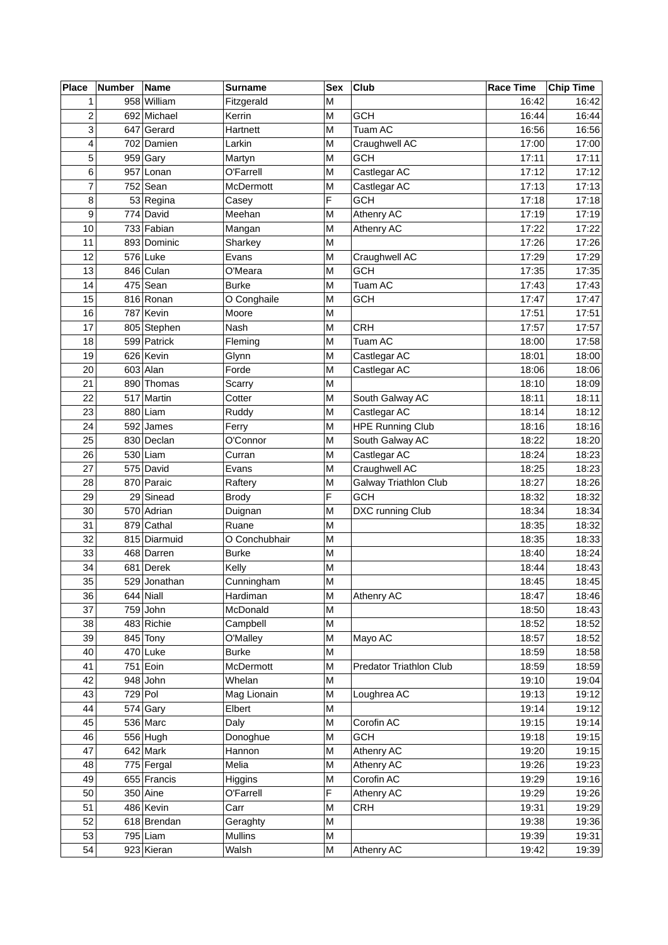| <b>Place</b>   | <b>Number</b> | Name         | <b>Surname</b> | <b>Sex</b> | Club                    | Race Time | Chip Time |
|----------------|---------------|--------------|----------------|------------|-------------------------|-----------|-----------|
| $\mathbf 1$    |               | 958 William  | Fitzgerald     | M          |                         | 16:42     | 16:42     |
| 2              |               | 692 Michael  | Kerrin         | M          | <b>GCH</b>              | 16:44     | 16:44     |
| 3              |               | 647 Gerard   | Hartnett       | M          | Tuam AC                 | 16:56     | 16:56     |
| 4              |               | 702 Damien   | Larkin         | M          | Craughwell AC           | 17:00     | 17:00     |
| 5              |               | $959$ Gary   | Martyn         | M          | <b>GCH</b>              | 17:11     | 17:11     |
| 6              |               | 957 Lonan    | O'Farrell      | M          | Castlegar AC            | 17:12     | 17:12     |
| $\overline{7}$ |               | 752 Sean     | McDermott      | M          | Castlegar AC            | 17:13     | 17:13     |
| 8              |               | 53 Regina    | Casey          | F          | <b>GCH</b>              | 17:18     | 17:18     |
| 9              |               | 774 David    | Meehan         | M          | Athenry AC              | 17:19     | 17:19     |
| 10             |               | 733 Fabian   | Mangan         | M          | Athenry AC              | 17:22     | 17:22     |
| 11             |               | 893 Dominic  | Sharkey        | M          |                         | 17:26     | 17:26     |
| 12             |               | 576 Luke     | Evans          | M          | Craughwell AC           | 17:29     | 17:29     |
| 13             |               | 846 Culan    | O'Meara        | M          | <b>GCH</b>              | 17:35     | 17:35     |
| 14             |               | 475 Sean     | <b>Burke</b>   | M          | Tuam AC                 | 17:43     | 17:43     |
| 15             |               | 816 Ronan    | O Conghaile    | M          | <b>GCH</b>              | 17:47     | 17:47     |
| 16             |               | 787 Kevin    | Moore          | M          |                         | 17:51     | 17:51     |
| 17             |               | 805 Stephen  | Nash           | M          | <b>CRH</b>              | 17:57     | 17:57     |
| 18             |               | 599 Patrick  | Fleming        | M          | Tuam AC                 | 18:00     | 17:58     |
| 19             |               | 626 Kevin    | Glynn          | M          | Castlegar AC            | 18:01     | 18:00     |
| 20             |               | 603 Alan     | Forde          | M          | Castlegar AC            | 18:06     | 18:06     |
| 21             |               | 890 Thomas   | Scarry         | M          |                         | 18:10     | 18:09     |
| 22             |               | 517 Martin   | Cotter         | M          | South Galway AC         | 18:11     | 18:11     |
| 23             |               | 880 Liam     | Ruddy          | M          | Castlegar AC            | 18:14     | 18:12     |
| 24             |               | 592 James    | Ferry          | M          | <b>HPE Running Club</b> | 18:16     | 18:16     |
| 25             |               | 830 Declan   | O'Connor       | M          | South Galway AC         | 18:22     | 18:20     |
| 26             |               | 530 Liam     | Curran         | M          | Castlegar AC            | 18:24     | 18:23     |
| 27             |               | 575 David    | Evans          | M          | Craughwell AC           | 18:25     | 18:23     |
| 28             |               | 870 Paraic   | Raftery        | M          | Galway Triathlon Club   | 18:27     | 18:26     |
| 29             |               | 29 Sinead    | <b>Brody</b>   | F          | <b>GCH</b>              | 18:32     | 18:32     |
| 30             |               | 570 Adrian   | Duignan        | M          | DXC running Club        | 18:34     | 18:34     |
| 31             |               | 879 Cathal   | Ruane          | M          |                         | 18:35     | 18:32     |
| 32             |               | 815 Diarmuid | O Conchubhair  | M          |                         | 18:35     | 18:33     |
| 33             |               | 468 Darren   | <b>Burke</b>   | M          |                         | 18:40     | 18:24     |
| 34             |               | 681 Derek    | Kelly          | M          |                         | 18:44     | 18:43     |
| 35             |               | 529 Jonathan | Cunningham     | M          |                         | 18:45     | 18:45     |
| 36             |               | 644 Niall    | Hardiman       | M          | Athenry AC              | 18:47     | 18:46     |
| 37             |               | $759$ John   | McDonald       | M          |                         | 18:50     | 18:43     |
| 38             |               | 483 Richie   | Campbell       | M          |                         | 18:52     | 18:52     |
| 39             |               | 845 Tony     | O'Malley       | M          | Mayo AC                 | 18:57     | 18:52     |
| 40             |               | 470 Luke     | <b>Burke</b>   | M          |                         | 18:59     | 18:58     |
| 41             |               | 751 Eoin     | McDermott      | M          | Predator Triathlon Club | 18:59     | 18:59     |
| 42             |               | $948$ John   | Whelan         | M          |                         | 19:10     | 19:04     |
| 43             |               | 729 Pol      | Mag Lionain    | M          | Loughrea AC             | 19:13     | 19:12     |
| 44             |               | $574$ Gary   | Elbert         | М          |                         | 19:14     | 19:12     |
| 45             |               | 536 Marc     | Daly           | M          | Corofin AC              | 19:15     | 19:14     |
| 46             |               | 556 Hugh     | Donoghue       | M          | <b>GCH</b>              | 19:18     | 19:15     |
| 47             |               | 642 Mark     | Hannon         | М          | Athenry AC              | 19:20     | 19:15     |
| 48             |               | 775 Fergal   | Melia          | M          | Athenry AC              | 19:26     | 19:23     |
| 49             |               | 655 Francis  | Higgins        | M          | Corofin AC              | 19:29     | 19:16     |
| 50             |               | 350 Aine     | O'Farrell      | F          | Athenry AC              | 19:29     | 19:26     |
| 51             |               | 486 Kevin    | Carr           | M          | <b>CRH</b>              | 19:31     | 19:29     |
| 52             |               | 618 Brendan  | Geraghty       | M          |                         | 19:38     | 19:36     |
| 53             |               | 795 Liam     | <b>Mullins</b> | M          |                         | 19:39     | 19:31     |
|                |               |              |                |            |                         |           |           |
| 54             |               | 923 Kieran   | Walsh          | M          | Athenry AC              | 19:42     | 19:39     |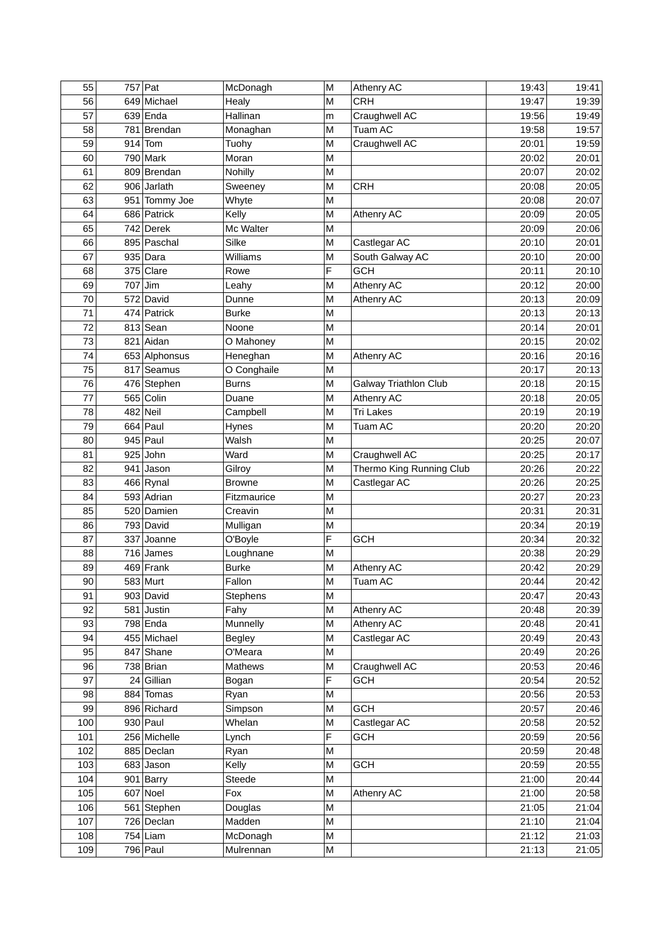| 55  | 757 Pat       | McDonagh        | M | <b>Athenry AC</b>        | 19:43 | 19:41 |
|-----|---------------|-----------------|---|--------------------------|-------|-------|
| 56  | 649 Michael   | Healy           | M | <b>CRH</b>               | 19:47 | 19:39 |
| 57  | $639$ Enda    | Hallinan        | m | Craughwell AC            | 19:56 | 19:49 |
| 58  | 781 Brendan   | Monaghan        | M | Tuam AC                  | 19:58 | 19:57 |
| 59  | $914$ Tom     | Tuohy           | M | Craughwell AC            | 20:01 | 19:59 |
| 60  | 790 Mark      | Moran           | Μ |                          | 20:02 | 20:01 |
| 61  | 809 Brendan   | Nohilly         | M |                          | 20:07 | 20:02 |
| 62  | 906 Jarlath   | Sweeney         | M | <b>CRH</b>               | 20:08 | 20:05 |
| 63  | 951 Tommy Joe | Whyte           | M |                          | 20:08 | 20:07 |
| 64  | 686 Patrick   | Kelly           | M | Athenry AC               | 20:09 | 20:05 |
| 65  | 742 Derek     | Mc Walter       | M |                          | 20:09 | 20:06 |
| 66  | 895 Paschal   | Silke           | M | Castlegar AC             | 20:10 | 20:01 |
| 67  | $935$ Dara    | <b>Williams</b> | M | South Galway AC          | 20:10 | 20:00 |
| 68  | 375 Clare     | Rowe            | F | <b>GCH</b>               | 20:11 | 20:10 |
| 69  | 707 Jim       | Leahy           | M | Athenry AC               | 20:12 | 20:00 |
| 70  | 572 David     | Dunne           | M | Athenry AC               | 20:13 | 20:09 |
| 71  | 474 Patrick   | <b>Burke</b>    | Μ |                          | 20:13 | 20:13 |
| 72  | 813 Sean      | Noone           | M |                          | 20:14 | 20:01 |
| 73  | 821 Aidan     | O Mahoney       | M |                          | 20:15 | 20:02 |
| 74  | 653 Alphonsus | Heneghan        | M | Athenry AC               | 20:16 | 20:16 |
| 75  | 817 Seamus    | O Conghaile     | M |                          | 20:17 | 20:13 |
| 76  | 476 Stephen   | <b>Burns</b>    | M | Galway Triathlon Club    | 20:18 | 20:15 |
| 77  | 565 Colin     | Duane           | M | Athenry AC               | 20:18 | 20:05 |
| 78  | 482 Neil      | Campbell        | M | Tri Lakes                | 20:19 | 20:19 |
| 79  | 664 Paul      | <b>Hynes</b>    | M | Tuam AC                  | 20:20 | 20:20 |
| 80  | 945 Paul      | Walsh           | M |                          | 20:25 | 20:07 |
| 81  | $925$ John    | Ward            | M | Craughwell AC            | 20:25 | 20:17 |
| 82  | 941 Jason     | Gilroy          | M | Thermo King Running Club | 20:26 | 20:22 |
| 83  | 466 Rynal     | <b>Browne</b>   | M | Castlegar AC             | 20:26 | 20:25 |
| 84  | 593 Adrian    | Fitzmaurice     | M |                          | 20:27 | 20:23 |
| 85  | 520 Damien    | Creavin         | M |                          | 20:31 | 20:31 |
| 86  | 793 David     | Mulligan        | M |                          | 20:34 | 20:19 |
| 87  | 337 Joanne    | O'Boyle         | F | <b>GCH</b>               | 20:34 | 20:32 |
| 88  | $716$ James   | Loughnane       | M |                          | 20:38 | 20:29 |
| 89  | 469 Frank     | <b>Burke</b>    | M | Athenry AC               | 20:42 | 20:29 |
| 90  | 583 Murt      | Fallon          | M | Tuam AC                  | 20:44 | 20:42 |
| 91  | 903 David     | Stephens        | M |                          | 20:47 | 20:43 |
| 92  | 581 Justin    | Fahy            | M | Athenry AC               | 20:48 | 20:39 |
| 93  | $798$ Enda    | Munnelly        | M | Athenry AC               | 20:48 | 20:41 |
| 94  | 455 Michael   | <b>Begley</b>   | M | Castlegar AC             | 20:49 | 20:43 |
| 95  | 847 Shane     | O'Meara         | M |                          | 20:49 | 20:26 |
| 96  | 738 Brian     | Mathews         | M | Craughwell AC            | 20:53 | 20:46 |
| 97  | 24 Gillian    | Bogan           | F | <b>GCH</b>               | 20:54 | 20:52 |
| 98  | 884 Tomas     | Ryan            | M |                          | 20:56 | 20:53 |
| 99  | 896 Richard   | Simpson         | M | <b>GCH</b>               | 20:57 | 20:46 |
| 100 | 930 Paul      | Whelan          | M | Castlegar AC             | 20:58 | 20:52 |
| 101 | 256 Michelle  | Lynch           | F | <b>GCH</b>               | 20:59 | 20:56 |
| 102 | 885 Declan    | Ryan            | М |                          | 20:59 | 20:48 |
| 103 | 683 Jason     | Kelly           | M | <b>GCH</b>               | 20:59 | 20:55 |
| 104 | 901 Barry     | Steede          | M |                          | 21:00 | 20:44 |
| 105 | 607 Noel      | Fox             | M | Athenry AC               | 21:00 | 20:58 |
| 106 | 561 Stephen   | Douglas         | M |                          | 21:05 | 21:04 |
| 107 | 726 Declan    | Madden          | M |                          | 21:10 | 21:04 |
| 108 | $754$ Liam    | McDonagh        | M |                          | 21:12 | 21:03 |
| 109 | 796 Paul      | Mulrennan       | М |                          | 21:13 | 21:05 |
|     |               |                 |   |                          |       |       |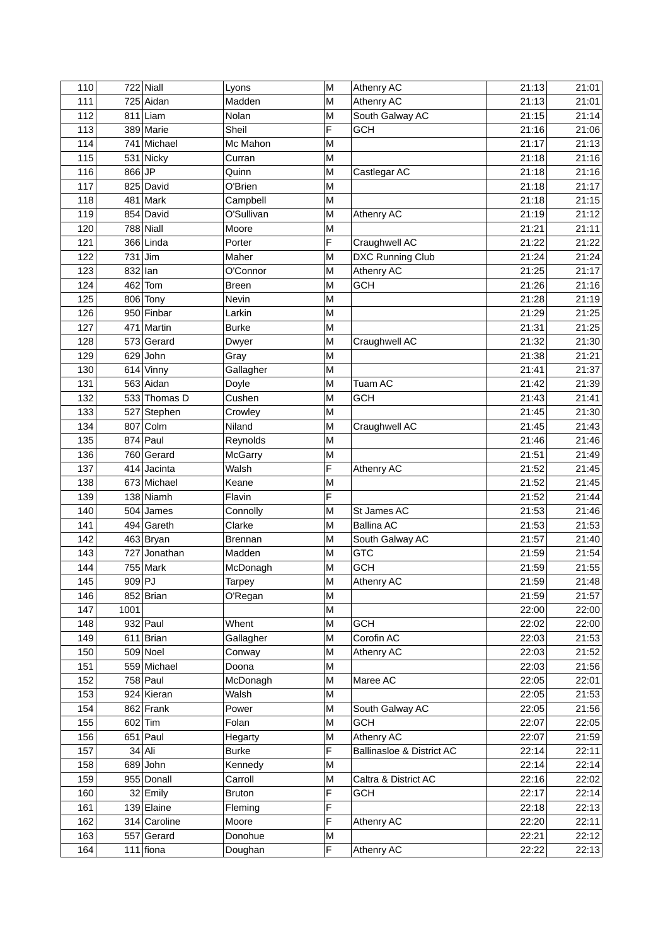| 110        |         | 722 Niall    | Lyons                   | M      | Athenry AC                    | 21:13          | 21:01          |
|------------|---------|--------------|-------------------------|--------|-------------------------------|----------------|----------------|
| 111        |         | 725 Aidan    | Madden                  | M      | Athenry AC                    | 21:13          | 21:01          |
| 112        |         | $811$ Liam   | Nolan                   | М      | South Galway AC               | 21:15          | 21:14          |
| 113        |         | 389 Marie    | Sheil                   | F      | <b>GCH</b>                    | 21:16          | 21:06          |
| 114        |         | 741 Michael  | Mc Mahon                | M      |                               | 21:17          | 21:13          |
| 115        |         | 531 Nicky    | Curran                  | M      |                               | 21:18          | 21:16          |
| 116        | 866 JP  |              | Quinn                   | M      | Castlegar AC                  | 21:18          | 21:16          |
| 117        |         | 825 David    | O'Brien                 | M      |                               | 21:18          | 21:17          |
| 118        |         | 481 Mark     | Campbell                | M      |                               | 21:18          | 21:15          |
| 119        |         | 854 David    | O'Sullivan              | M      | Athenry AC                    | 21:19          | 21:12          |
| 120        |         | 788 Niall    | Moore                   | M      |                               | 21:21          | 21:11          |
| 121        |         | 366 Linda    | Porter                  | F      | Craughwell AC                 | 21:22          | 21:22          |
| 122        |         | $731$ Jim    | Maher                   | M      | DXC Running Club              | 21:24          | 21:24          |
| 123        | 832 lan |              | O'Connor                | M      | Athenry AC                    | 21:25          | 21:17          |
| 124        |         | 462 Tom      | <b>Breen</b>            | M      | <b>GCH</b>                    | 21:26          | 21:16          |
| 125        |         | 806 Tony     | Nevin                   | M      |                               | 21:28          | 21:19          |
| 126        |         | 950 Finbar   | Larkin                  | M      |                               | 21:29          | 21:25          |
| 127        |         | 471 Martin   | <b>Burke</b>            | M      |                               | 21:31          | 21:25          |
| 128        |         | 573 Gerard   | Dwyer                   | M      | Craughwell AC                 | 21:32          | 21:30          |
| 129        |         | $629$ John   | Gray                    | M      |                               | 21:38          | 21:21          |
| 130        |         | 614 Vinny    | Gallagher               | M      |                               | 21:41          | 21:37          |
| 131        |         | 563 Aidan    | Doyle                   | M      | Tuam AC                       | 21:42          | 21:39          |
| 132        |         | 533 Thomas D | Cushen                  | M      | <b>GCH</b>                    | 21:43          | 21:41          |
| 133        |         | 527 Stephen  | Crowley                 | M      |                               | 21:45          | 21:30          |
| 134        |         | 807 Colm     | Niland                  | M      | Craughwell AC                 | 21:45          | 21:43          |
| 135        |         | 874 Paul     | Reynolds                | M      |                               | 21:46          | 21:46          |
| 136        |         | 760 Gerard   | McGarry                 | M      |                               | 21:51          | 21:49          |
| 137        |         | 414 Jacinta  | Walsh                   | F      | Athenry AC                    | 21:52          | 21:45          |
| 138        |         | 673 Michael  | Keane                   | M      |                               | 21:52          | 21:45          |
| 139        |         | 138 Niamh    | Flavin                  | F      |                               | 21:52          | 21:44          |
| 140        |         | 504 James    | Connolly                | M      | St James AC                   | 21:53          | 21:46          |
| 141        |         | 494 Gareth   | Clarke                  | M      | <b>Ballina AC</b>             | 21:53          | 21:53          |
| 142        |         | 463 Bryan    | <b>Brennan</b>          | M      | South Galway AC               | 21:57          | 21:40          |
| 143        |         | 727 Jonathan | Madden                  | M      | <b>GTC</b>                    | 21:59          | 21:54          |
| 144        |         | 755 Mark     | McDonagh                | M      | <b>GCH</b>                    | 21:59          | 21:55          |
| 145        | 909 PJ  |              |                         | M      | Athenry AC                    | 21:59          | 21:48          |
| 146        |         | 852 Brian    | Tarpey<br>O'Regan       | M      |                               | 21:59          | 21:57          |
| 147        | 1001    |              |                         | M      |                               | 22:00          | 22:00          |
| 148        |         | $932$ Paul   | Whent                   | M      | <b>GCH</b>                    | 22:02          | 22:00          |
| 149        |         | 611 Brian    | Gallagher               | M      | Corofin AC                    | 22:03          | 21:53          |
| 150        |         | $509$ Noel   | Conway                  | M      | Athenry AC                    | 22:03          | 21:52          |
| 151        |         | 559 Michael  | Doona                   | M      |                               | 22:03          | 21:56          |
| 152        |         | 758 Paul     | McDonagh                | M      | Maree AC                      | 22:05          | 22:01          |
| 153        |         | 924 Kieran   | Walsh                   | M      |                               | 22:05          | 21:53          |
| 154        |         | 862 Frank    | Power                   |        |                               |                |                |
| 155        |         | 602 Tim      |                         | М<br>M | South Galway AC<br><b>GCH</b> | 22:05          | 21:56          |
| 156        |         | $651$ Paul   | Folan                   |        | Athenry AC                    | 22:07<br>22:07 | 22:05          |
| 157        |         | 34 Ali       | Hegarty<br><b>Burke</b> | М<br>F | Ballinasloe & District AC     | 22:14          | 21:59<br>22:11 |
| 158        |         | $689$ John   |                         | M      |                               | 22:14          | 22:14          |
| 159        |         | 955 Donall   | Kennedy                 |        |                               | 22:16          |                |
|            |         |              | Carroll                 | М<br>F | Caltra & District AC          |                | 22:02          |
| 160        |         | 32 Emily     | <b>Bruton</b>           |        | <b>GCH</b>                    | 22:17          | 22:14          |
| 161        |         | 139 Elaine   | Fleming                 | F<br>F |                               | 22:18          | 22:13          |
| 162<br>163 |         | 314 Caroline | Moore                   |        | Athenry AC                    | 22:20          | 22:11          |
|            |         | 557 Gerard   | Donohue                 | M      |                               | 22:21          | 22:12          |
| 164        |         | $111$ fiona  | Doughan                 | F      | Athenry AC                    | 22:22          | 22:13          |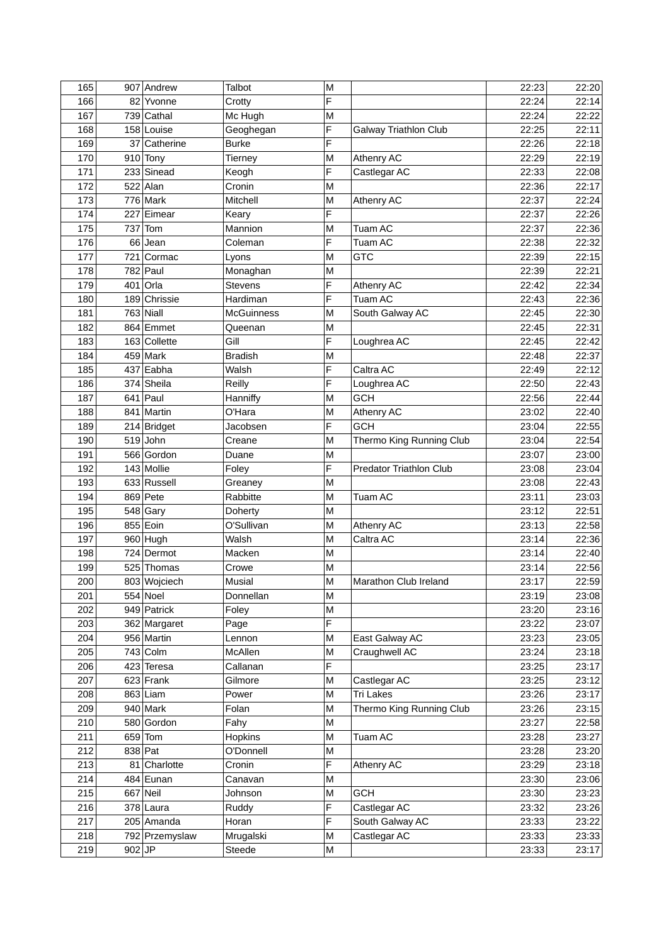| 165        |        | 907 Andrew               | Talbot              | M      |                          | 22:23 | 22:20          |
|------------|--------|--------------------------|---------------------|--------|--------------------------|-------|----------------|
| 166        | 82     | Yvonne                   | Crotty              | F      |                          | 22:24 | 22:14          |
| 167        |        | 739 Cathal               | Mc Hugh             | M      |                          | 22:24 | 22:22          |
| 168        |        | 158 Louise               | Geoghegan           | F      | Galway Triathlon Club    | 22:25 | 22:11          |
| 169        |        | 37 Catherine             | <b>Burke</b>        | F      |                          | 22:26 | 22:18          |
| 170        |        | $910$ Tony               | Tierney             | M      | Athenry AC               | 22:29 | 22:19          |
| 171        |        | 233 Sinead               | Keogh               | F      | Castlegar AC             | 22:33 | 22:08          |
| 172        |        | 522 Alan                 | Cronin              | M      |                          | 22:36 | 22:17          |
| 173        |        | 776 Mark                 | Mitchell            | M      | Athenry AC               | 22:37 | 22:24          |
| 174        |        | 227 Eimear               | Keary               | F      |                          | 22:37 | 22:26          |
| 175        |        | 737 Tom                  | Mannion             | M      | Tuam AC                  | 22:37 | 22:36          |
| 176        |        | 66 Jean                  | Coleman             | F      | Tuam AC                  | 22:38 | 22:32          |
| 177        |        | 721 Cormac               | Lyons               | M      | <b>GTC</b>               | 22:39 | 22:15          |
| 178        |        | 782 Paul                 | Monaghan            | M      |                          | 22:39 | 22:21          |
| 179        |        | 401 Orla                 | <b>Stevens</b>      | F      | Athenry AC               | 22:42 | 22:34          |
| 180        |        | 189 Chrissie             | Hardiman            | F      | Tuam AC                  | 22:43 | 22:36          |
| 181        |        | 763 Niall                | <b>McGuinness</b>   | M      | South Galway AC          | 22:45 | 22:30          |
| 182        |        | 864 Emmet                | Queenan             | M      |                          | 22:45 | 22:31          |
| 183        |        | 163 Collette             | Gill                | F      | Loughrea AC              | 22:45 | 22:42          |
| 184        |        | 459 Mark                 | <b>Bradish</b>      | M      |                          | 22:48 | 22:37          |
| 185        |        | 437 Eabha                | Walsh               | F      | Caltra AC                | 22:49 | 22:12          |
| 186        |        | 374 Sheila               | Reilly              | F      | Loughrea AC              | 22:50 | 22:43          |
| 187        |        | 641 Paul                 | Hanniffy            | М      | <b>GCH</b>               | 22:56 | 22:44          |
| 188        |        | 841 Martin               | O'Hara              | Μ      | Athenry AC               | 23:02 | 22:40          |
| 189        |        | 214 Bridget              | Jacobsen            | F      | <b>GCH</b>               | 23:04 | 22:55          |
| 190        |        | $519$ John               | Creane              | Μ      | Thermo King Running Club | 23:04 | 22:54          |
| 191        |        | 566 Gordon               | Duane               | M      |                          | 23:07 | 23:00          |
| 192        |        | 143 Mollie               | Foley               | F      | Predator Triathlon Club  | 23:08 | 23:04          |
| 193        |        | 633 Russell              | Greaney             | M      |                          | 23:08 | 22:43          |
| 194        |        | 869 Pete                 | Rabbitte            | M      | Tuam AC                  | 23:11 | 23:03          |
| 195        |        | $548$ Gary               | Doherty             | M      |                          | 23:12 | 22:51          |
| 196        |        | 855 Eoin                 | O'Sullivan          | M      | Athenry AC               | 23:13 | 22:58          |
| 197        |        | 960 Hugh                 | Walsh               | M      | Caltra AC                | 23:14 | 22:36          |
| 198        |        | $\overline{7}24$ Dermot  | Macken              | M      |                          | 23:14 | 22:40          |
| 199        |        | 525 Thomas               | Crowe               | M      |                          | 23:14 | 22:56          |
| 200        |        |                          |                     | M      | Marathon Club Ireland    | 23:17 |                |
| 201        |        | 803 Wojciech<br>554 Noel | Musial<br>Donnellan | M      |                          | 23:19 | 22:59<br>23:08 |
| 202        |        | 949 Patrick              | Foley               | M      |                          | 23:20 | 23:16          |
| 203        |        | 362 Margaret             | Page                | F      |                          | 23:22 | 23:07          |
|            |        |                          |                     |        |                          | 23:23 |                |
| 204<br>205 |        | 956 Martin<br>743 Colm   | Lennon              | M<br>M | East Galway AC           | 23:24 | 23:05          |
|            |        |                          | McAllen             | F      | Craughwell AC            |       | 23:18          |
| 206        |        | 423 Teresa               | Callanan            |        |                          | 23:25 | 23:17          |
| 207        |        | 623 Frank                | Gilmore             | M      | Castlegar AC             | 23:25 | 23:12          |
| 208        |        | 863 Liam                 | Power               | M      | Tri Lakes                | 23:26 | 23:17          |
| 209        |        | 940 Mark                 | Folan               | M      | Thermo King Running Club | 23:26 | 23:15          |
| 210        |        | 580 Gordon               | Fahy                | M      |                          | 23:27 | 22:58          |
| 211        |        | 659 Tom                  | Hopkins             | M      | Tuam AC                  | 23:28 | 23:27          |
| 212        |        | 838 Pat                  | O'Donnell           | M      |                          | 23:28 | 23:20          |
| 213        |        | 81 Charlotte             | Cronin              | F      | Athenry AC               | 23:29 | 23:18          |
| 214        |        | 484 Eunan                | Canavan             | M      |                          | 23:30 | 23:06          |
| 215        |        | 667 Neil                 | Johnson             | M      | <b>GCH</b>               | 23:30 | 23:23          |
| 216        |        | 378 Laura                | Ruddy               | F      | Castlegar AC             | 23:32 | 23:26          |
| 217        |        | 205 Amanda               | Horan               | F      | South Galway AC          | 23:33 | 23:22          |
| 218        |        | 792 Przemyslaw           | Mrugalski           | M      | Castlegar AC             | 23:33 | 23:33          |
| 219        | 902 JP |                          | Steede              | М      |                          | 23:33 | 23:17          |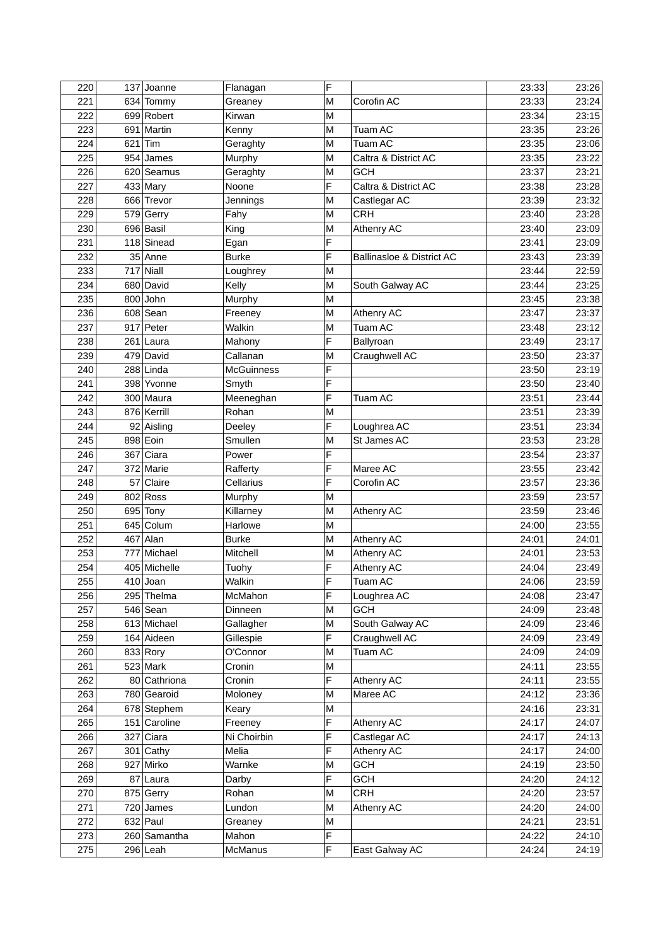| 220 |    | 137 Joanne   | Flanagan          | F |                           | 23:33 | 23:26 |
|-----|----|--------------|-------------------|---|---------------------------|-------|-------|
| 221 |    | 634 Tommy    | Greaney           | M | Corofin AC                | 23:33 | 23:24 |
| 222 |    | 699 Robert   | Kirwan            | М |                           | 23:34 | 23:15 |
| 223 |    | 691 Martin   | Kenny             | M | Tuam AC                   | 23:35 | 23:26 |
| 224 |    | $621$ Tim    | Geraghty          | M | Tuam AC                   | 23:35 | 23:06 |
| 225 |    | 954 James    | Murphy            | Μ | Caltra & District AC      | 23:35 | 23:22 |
| 226 |    | 620 Seamus   | Geraghty          | M | <b>GCH</b>                | 23:37 | 23:21 |
| 227 |    | 433 Mary     | Noone             | F | Caltra & District AC      | 23:38 | 23:28 |
| 228 |    | 666 Trevor   | Jennings          | M | Castlegar AC              | 23:39 | 23:32 |
| 229 |    | 579 Gerry    | Fahy              | M | <b>CRH</b>                | 23:40 | 23:28 |
| 230 |    | 696 Basil    | King              | M | Athenry AC                | 23:40 | 23:09 |
| 231 |    | 118 Sinead   | Egan              | F |                           | 23:41 | 23:09 |
| 232 |    | 35 Anne      | <b>Burke</b>      | F | Ballinasloe & District AC | 23:43 | 23:39 |
| 233 |    | 717 Niall    | Loughrey          | M |                           | 23:44 | 22:59 |
| 234 |    | 680 David    | Kelly             | M | South Galway AC           | 23:44 | 23:25 |
| 235 |    | 800 John     | Murphy            | M |                           | 23:45 | 23:38 |
| 236 |    | $608$ Sean   | Freeney           | M | Athenry AC                | 23:47 | 23:37 |
| 237 |    | 917 Peter    | Walkin            | M | Tuam AC                   | 23:48 | 23:12 |
| 238 |    | 261 Laura    | Mahony            | F | Ballyroan                 | 23:49 | 23:17 |
| 239 |    | 479 David    | Callanan          | M | Craughwell AC             | 23:50 | 23:37 |
| 240 |    | 288 Linda    | <b>McGuinness</b> | F |                           | 23:50 | 23:19 |
| 241 |    | 398 Yvonne   | Smyth             | F |                           | 23:50 | 23:40 |
| 242 |    | 300 Maura    | Meeneghan         | F | Tuam AC                   | 23:51 | 23:44 |
| 243 |    | 876 Kerrill  | Rohan             | М |                           | 23:51 | 23:39 |
| 244 |    | 92 Aisling   | Deeley            | F | Loughrea AC               | 23:51 | 23:34 |
| 245 |    | 898 Eoin     | Smullen           | M | St James AC               | 23:53 | 23:28 |
| 246 |    | 367 Ciara    | Power             | F |                           | 23:54 | 23:37 |
| 247 |    | 372 Marie    | Rafferty          | F | Maree AC                  | 23:55 | 23:42 |
| 248 | 57 | Claire       | Cellarius         | F | Corofin AC                | 23:57 | 23:36 |
| 249 |    | 802 Ross     | Murphy            | M |                           | 23:59 | 23:57 |
| 250 |    | 695 Tony     | Killarney         | M | Athenry AC                | 23:59 | 23:46 |
| 251 |    | 645 Colum    | Harlowe           | M |                           | 24:00 | 23:55 |
| 252 |    | 467 Alan     | <b>Burke</b>      | M | Athenry AC                | 24:01 | 24:01 |
| 253 |    | 777 Michael  | Mitchell          | M | Athenry AC                | 24:01 | 23:53 |
| 254 |    | 405 Michelle |                   | F | Athenry AC                | 24:04 | 23:49 |
| 255 |    | $410$ Joan   | Tuohy             | F |                           | 24:06 |       |
|     |    |              | Walkin            | F | Tuam AC                   |       | 23:59 |
| 256 |    | 295 Thelma   | McMahon           |   | Loughrea AC               | 24:08 | 23:47 |
| 257 |    | 546 Sean     | Dinneen           | M | <b>GCH</b>                | 24:09 | 23:48 |
| 258 |    | 613 Michael  | Gallagher         | M | South Galway AC           | 24:09 | 23:46 |
| 259 |    | 164 Aideen   | Gillespie         | F | Craughwell AC             | 24:09 | 23:49 |
| 260 |    | 833 Rory     | O'Connor          | M | Tuam AC                   | 24:09 | 24:09 |
| 261 |    | $523$ Mark   | Cronin            | М |                           | 24:11 | 23:55 |
| 262 |    | 80 Cathriona | Cronin            | F | Athenry AC                | 24:11 | 23:55 |
| 263 |    | 780 Gearoid  | Moloney           | M | Maree AC                  | 24:12 | 23:36 |
| 264 |    | 678 Stephem  | Keary             | M |                           | 24:16 | 23:31 |
| 265 |    | 151 Caroline | Freeney           | F | Athenry AC                | 24:17 | 24:07 |
| 266 |    | 327 Ciara    | Ni Choirbin       | F | Castlegar AC              | 24:17 | 24:13 |
| 267 |    | 301 Cathy    | Melia             | F | Athenry AC                | 24:17 | 24:00 |
| 268 |    | 927 Mirko    | Warnke            | M | <b>GCH</b>                | 24:19 | 23:50 |
| 269 |    | 87 Laura     | Darby             | F | <b>GCH</b>                | 24:20 | 24:12 |
| 270 |    | 875 Gerry    | Rohan             | M | <b>CRH</b>                | 24:20 | 23:57 |
| 271 |    | 720 James    | Lundon            | M | Athenry AC                | 24:20 | 24:00 |
| 272 |    | 632 Paul     | Greaney           | M |                           | 24:21 | 23:51 |
| 273 |    | 260 Samantha | Mahon             | F |                           | 24:22 | 24:10 |
| 275 |    | 296 Leah     | McManus           | F | East Galway AC            | 24:24 | 24:19 |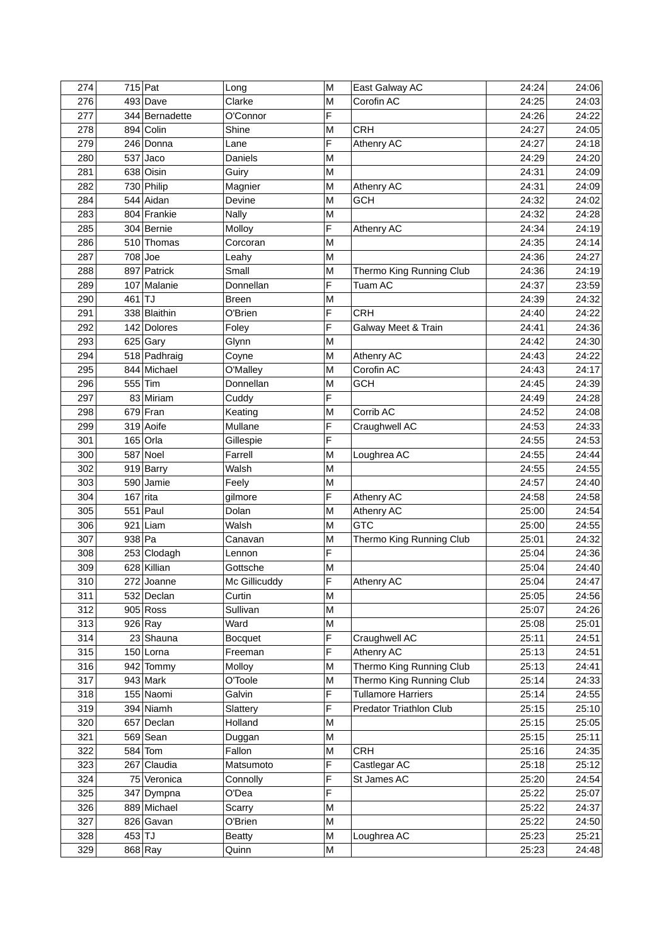| 274 |        | 715 Pat        | Long           | M | East Galway AC            | 24:24 | 24:06 |
|-----|--------|----------------|----------------|---|---------------------------|-------|-------|
| 276 |        | 493 Dave       | Clarke         | M | Corofin AC                | 24:25 | 24:03 |
| 277 |        | 344 Bernadette | O'Connor       | F |                           | 24:26 | 24:22 |
| 278 |        | 894 Colin      | Shine          | M | <b>CRH</b>                | 24:27 | 24:05 |
| 279 |        | 246 Donna      | Lane           | F | Athenry AC                | 24:27 | 24:18 |
| 280 |        | $537$ Jaco     | <b>Daniels</b> | Μ |                           | 24:29 | 24:20 |
| 281 |        | 638 Oisin      | Guiry          | M |                           | 24:31 | 24:09 |
| 282 |        | 730 Philip     | Magnier        | M | Athenry AC                | 24:31 | 24:09 |
| 284 |        | 544 Aidan      | Devine         | M | <b>GCH</b>                | 24:32 | 24:02 |
| 283 |        | 804 Frankie    | <b>Nally</b>   | M |                           | 24:32 | 24:28 |
| 285 |        | 304 Bernie     | Molloy         | F | Athenry AC                | 24:34 | 24:19 |
| 286 |        | 510 Thomas     | Corcoran       | M |                           | 24:35 | 24:14 |
| 287 |        | 708 Joe        | Leahy          | M |                           | 24:36 | 24:27 |
| 288 |        | 897 Patrick    | Small          | M | Thermo King Running Club  | 24:36 | 24:19 |
| 289 |        | 107 Malanie    | Donnellan      | F | Tuam AC                   | 24:37 | 23:59 |
| 290 | 461TJ  |                | <b>Breen</b>   | M |                           | 24:39 | 24:32 |
| 291 |        | 338 Blaithin   | O'Brien        | F | <b>CRH</b>                | 24:40 | 24:22 |
| 292 |        | 142 Dolores    | Foley          | F | Galway Meet & Train       | 24:41 | 24:36 |
| 293 |        | $625$ Gary     | Glynn          | M |                           | 24:42 | 24:30 |
| 294 |        | 518 Padhraig   | Coyne          | M | Athenry AC                | 24:43 | 24:22 |
| 295 |        | 844 Michael    | O'Malley       | M | Corofin AC                | 24:43 | 24:17 |
| 296 |        | 555 Tim        | Donnellan      | M | <b>GCH</b>                | 24:45 | 24:39 |
| 297 |        | 83 Miriam      | Cuddy          | F |                           | 24:49 | 24:28 |
| 298 |        | 679 Fran       | Keating        | M | Corrib AC                 | 24:52 | 24:08 |
| 299 |        | 319 Aoife      | Mullane        | F | Craughwell AC             | 24:53 | 24:33 |
| 301 |        | $165$ Orla     |                | F |                           | 24:55 | 24:53 |
| 300 |        |                | Gillespie      |   |                           |       |       |
|     |        | 587 Noel       | Farrell        | M | Loughrea AC               | 24:55 | 24:44 |
| 302 |        | 919 Barry      | Walsh          | M |                           | 24:55 | 24:55 |
| 303 |        | 590 Jamie      | Feely          | M |                           | 24:57 | 24:40 |
| 304 |        | $167$ rita     | gilmore        | F | Athenry AC                | 24:58 | 24:58 |
| 305 |        | $551$ Paul     | Dolan          | M | Athenry AC                | 25:00 | 24:54 |
| 306 |        | $921$ Liam     | Walsh          | M | <b>GTC</b>                | 25:00 | 24:55 |
| 307 | 938 Pa |                | Canavan        | M | Thermo King Running Club  | 25:01 | 24:32 |
| 308 |        | 253 Clodagh    | Lennon         | F |                           | 25:04 | 24:36 |
| 309 |        | 628 Killian    | Gottsche       | M |                           | 25:04 | 24:40 |
| 310 |        | 272 Joanne     | Mc Gillicuddy  | F | Athenry AC                | 25:04 | 24:47 |
| 311 |        | 532 Declan     | Curtin         | M |                           | 25:05 | 24:56 |
| 312 |        | $905$ Ross     | Sullivan       | M |                           | 25:07 | 24:26 |
| 313 |        | $926$ Ray      | Ward           | M |                           | 25:08 | 25:01 |
| 314 |        | 23 Shauna      | <b>Bocquet</b> | F | Craughwell AC             | 25:11 | 24:51 |
| 315 |        | 150 Lorna      | Freeman        | F | Athenry AC                | 25:13 | 24:51 |
| 316 |        | 942 Tommy      | Molloy         | M | Thermo King Running Club  | 25:13 | 24:41 |
| 317 |        | $943$ Mark     | O'Toole        | M | Thermo King Running Club  | 25:14 | 24:33 |
| 318 |        | 155 Naomi      | Galvin         | F | <b>Tullamore Harriers</b> | 25:14 | 24:55 |
| 319 |        | 394 Niamh      | Slattery       | F | Predator Triathlon Club   | 25:15 | 25:10 |
| 320 |        | 657 Declan     | Holland        | M |                           | 25:15 | 25:05 |
| 321 |        | 569 Sean       | Duggan         | М |                           | 25:15 | 25:11 |
| 322 |        | $584$ Tom      | Fallon         | M | <b>CRH</b>                | 25:16 | 24:35 |
| 323 |        | 267 Claudia    | Matsumoto      | F | Castlegar AC              | 25:18 | 25:12 |
| 324 |        | 75 Veronica    | Connolly       | F | St James AC               | 25:20 | 24:54 |
| 325 |        | 347 Dympna     | O'Dea          | F |                           | 25:22 | 25:07 |
| 326 |        | 889 Michael    | Scarry         | M |                           | 25:22 | 24:37 |
| 327 |        | 826 Gavan      | O'Brien        | M |                           | 25:22 | 24:50 |
| 328 | 453 TJ |                | <b>Beatty</b>  | M | Loughrea AC               | 25:23 | 25:21 |
| 329 |        | 868 Ray        | Quinn          | М |                           | 25:23 | 24:48 |
|     |        |                |                |   |                           |       |       |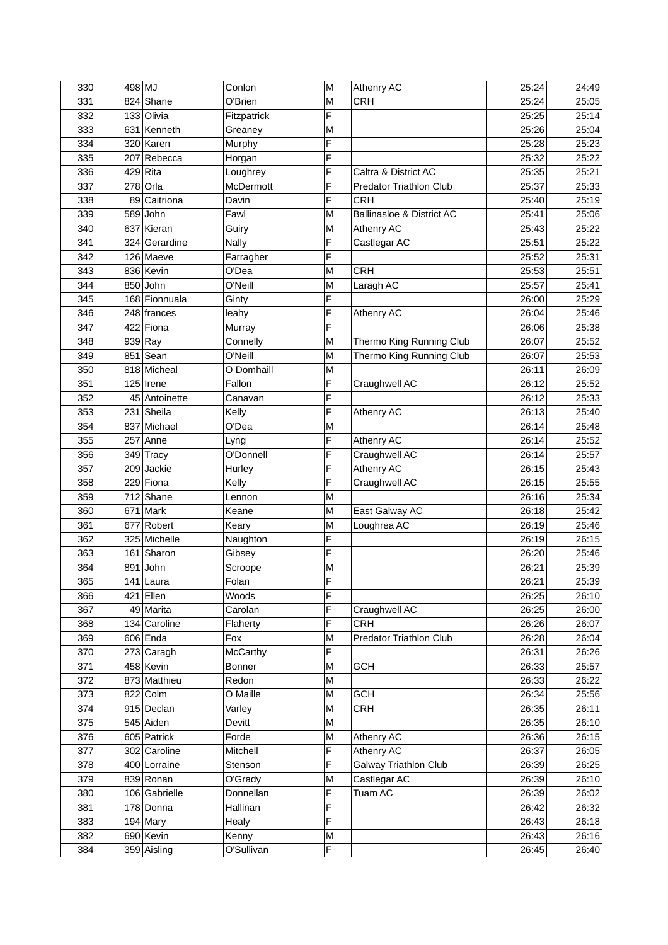| 330 | 498 MJ |               | Conlon             | M | Athenry AC                   | 25:24          | 24:49          |
|-----|--------|---------------|--------------------|---|------------------------------|----------------|----------------|
| 331 |        | 824 Shane     | O'Brien            | M | <b>CRH</b>                   | 25:24          | 25:05          |
| 332 |        | 133 Olivia    | Fitzpatrick        | F |                              | 25:25          | 25:14          |
| 333 |        | 631 Kenneth   | Greaney            | M |                              | 25:26          | 25:04          |
| 334 |        | 320 Karen     | Murphy             | F |                              | 25:28          | 25:23          |
| 335 |        | 207 Rebecca   | Horgan             | F |                              | 25:32          | 25:22          |
| 336 |        | 429 Rita      | Loughrey           | F | Caltra & District AC         | 25:35          | 25:21          |
| 337 |        | 278 Orla      | McDermott          | F | Predator Triathlon Club      | 25:37          | 25:33          |
| 338 |        | 89 Caitriona  | Davin              | F | <b>CRH</b>                   | 25:40          | 25:19          |
| 339 |        | $589$ John    | Fawl               | M | Ballinasloe & District AC    | 25:41          | 25:06          |
| 340 |        | 637 Kieran    | Guiry              | M | Athenry AC                   | 25:43          | 25:22          |
| 341 |        | 324 Gerardine | <b>Nally</b>       | F | Castlegar AC                 | 25:51          | 25:22          |
| 342 |        | 126 Maeve     | Farragher          | F |                              | 25:52          | 25:31          |
| 343 |        | 836 Kevin     | O'Dea              | M | <b>CRH</b>                   | 25:53          | 25:51          |
| 344 |        | 850 John      | O'Neill            | M | Laragh AC                    | 25:57          | 25:41          |
| 345 |        | 168 Fionnuala | Ginty              | F |                              | 26:00          | 25:29          |
| 346 |        | 248 frances   | leahy              | F | Athenry AC                   | 26:04          | 25:46          |
| 347 |        | 422 Fiona     | Murray             | F |                              | 26:06          | 25:38          |
| 348 |        | $939$ Ray     | Connelly           | M | Thermo King Running Club     | 26:07          | 25:52          |
| 349 |        | $851$ Sean    | O'Neill            | M | Thermo King Running Club     | 26:07          | 25:53          |
| 350 |        | 818 Micheal   | O Domhaill         | M |                              | 26:11          | 26:09          |
| 351 |        | 125 Irene     | Fallon             | F | Craughwell AC                | 26:12          | 25:52          |
| 352 |        | 45 Antoinette | Canavan            | F |                              | 26:12          | 25:33          |
| 353 |        | 231 Sheila    | Kelly              | F | Athenry AC                   | 26:13          | 25:40          |
| 354 |        | 837 Michael   | O'Dea              | M |                              | 26:14          | 25:48          |
| 355 |        | 257 Anne      | Lyng               | F | Athenry AC                   | 26:14          | 25:52          |
| 356 |        | 349 Tracy     | O'Donnell          | F | Craughwell AC                | 26:14          | 25:57          |
| 357 |        | 209 Jackie    | Hurley             | F | Athenry AC                   | 26:15          | 25:43          |
| 358 |        | 229 Fiona     | Kelly              | F | Craughwell AC                | 26:15          | 25:55          |
| 359 |        | 712 Shane     | Lennon             | M |                              | 26:16          | 25:34          |
| 360 |        | 671 Mark      | Keane              | M | East Galway AC               | 26:18          | 25:42          |
| 361 |        | 677 Robert    |                    | M | Loughrea AC                  | 26:19          | 25:46          |
| 362 |        | 325 Michelle  | Keary              | F |                              |                |                |
| 363 |        | 161 Sharon    | Naughton<br>Gibsey | F |                              | 26:19<br>26:20 | 26:15          |
| 364 |        | 891 John      |                    | M |                              | 26:21          | 25:46<br>25:39 |
| 365 |        | 141 Laura     | Scroope            | F |                              | 26:21          |                |
|     |        |               | Folan              |   |                              |                | 25:39          |
| 366 |        | 421 Ellen     | Woods              | F |                              | 26:25          | 26:10          |
| 367 |        | 49 Marita     | Carolan            | F | Craughwell AC                | 26:25          | 26:00          |
| 368 |        | 134 Caroline  | Flaherty           | F | <b>CRH</b>                   | 26:26          | 26:07          |
| 369 |        | 606 Enda      | Fox                | M | Predator Triathlon Club      | 26:28          | 26:04          |
| 370 |        | 273 Caragh    | McCarthy           | F |                              | 26:31          | 26:26          |
| 371 |        | 458 Kevin     | <b>Bonner</b>      | M | <b>GCH</b>                   | 26:33          | 25:57          |
| 372 |        | 873 Matthieu  | Redon              | M |                              | 26:33          | 26:22          |
| 373 |        | 822 Colm      | O Maille           | M | <b>GCH</b>                   | 26:34          | 25:56          |
| 374 |        | 915 Declan    | Varley             | M | <b>CRH</b>                   | 26:35          | 26:11          |
| 375 |        | 545 Aiden     | Devitt             | M |                              | 26:35          | 26:10          |
| 376 |        | 605 Patrick   | Forde              | М | Athenry AC                   | 26:36          | 26:15          |
| 377 |        | 302 Caroline  | Mitchell           | F | Athenry AC                   | 26:37          | 26:05          |
| 378 |        | 400 Lorraine  | Stenson            | F | <b>Galway Triathlon Club</b> | 26:39          | 26:25          |
| 379 |        | 839 Ronan     | O'Grady            | M | Castlegar AC                 | 26:39          | 26:10          |
| 380 |        | 106 Gabrielle | Donnellan          | F | Tuam AC                      | 26:39          | 26:02          |
| 381 |        | 178 Donna     | Hallinan           | F |                              | 26:42          | 26:32          |
| 383 |        | 194 Mary      | Healy              | F |                              | 26:43          | 26:18          |
| 382 |        | 690 Kevin     | Kenny              | M |                              | 26:43          | 26:16          |
| 384 |        | 359 Aisling   | O'Sullivan         | F |                              | 26:45          | 26:40          |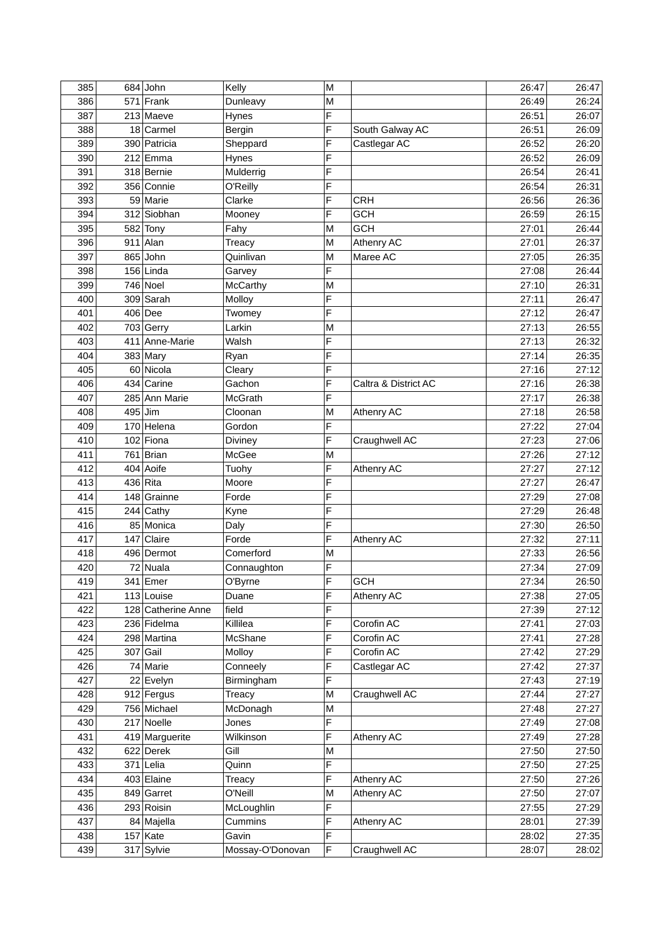| 385 |     | 684 John           | Kelly            | M |                      | 26:47 | 26:47 |
|-----|-----|--------------------|------------------|---|----------------------|-------|-------|
| 386 |     | 571 Frank          | Dunleavy         | M |                      | 26:49 | 26:24 |
| 387 |     | 213 Maeve          | Hynes            | F |                      | 26:51 | 26:07 |
| 388 |     | 18 Carmel          | <b>Bergin</b>    | F | South Galway AC      | 26:51 | 26:09 |
| 389 |     | 390 Patricia       | Sheppard         | F | Castlegar AC         | 26:52 | 26:20 |
| 390 |     | $212$ Emma         | Hynes            | F |                      | 26:52 | 26:09 |
| 391 |     | 318 Bernie         | Mulderrig        | F |                      | 26:54 | 26:41 |
| 392 |     | 356 Connie         | O'Reilly         | F |                      | 26:54 | 26:31 |
| 393 |     | 59 Marie           | Clarke           | F | <b>CRH</b>           | 26:56 | 26:36 |
| 394 |     | 312 Siobhan        | Mooney           | F | <b>GCH</b>           | 26:59 | 26:15 |
| 395 |     | 582 Tony           | Fahy             | M | <b>GCH</b>           | 27:01 | 26:44 |
| 396 |     | $911$ Alan         | Treacy           | M | Athenry AC           | 27:01 | 26:37 |
| 397 |     | 865 John           | Quinlivan        | M | Maree AC             | 27:05 | 26:35 |
| 398 |     | $156$ Linda        | Garvey           | F |                      | 27:08 | 26:44 |
| 399 |     | 746 Noel           | McCarthy         | M |                      | 27:10 | 26:31 |
| 400 |     | 309 Sarah          | Molloy           | F |                      | 27:11 | 26:47 |
| 401 |     | 406 Dee            | Twomey           | F |                      | 27:12 | 26:47 |
| 402 |     | 703 Gerry          | Larkin           | M |                      | 27:13 | 26:55 |
| 403 |     | 411 Anne-Marie     | Walsh            | F |                      | 27:13 | 26:32 |
| 404 |     | 383 Mary           | Ryan             | F |                      | 27:14 | 26:35 |
| 405 |     | 60 Nicola          | Cleary           | F |                      | 27:16 | 27:12 |
| 406 |     | 434 Carine         | Gachon           | F | Caltra & District AC | 27:16 | 26:38 |
| 407 |     | 285 Ann Marie      | McGrath          | F |                      | 27:17 | 26:38 |
| 408 |     | 495 Jim            |                  | M |                      | 27:18 | 26:58 |
| 409 |     | 170 Helena         | Cloonan          | F | Athenry AC           |       |       |
|     |     |                    | Gordon           |   |                      | 27:22 | 27:04 |
| 410 |     | 102 Fiona          | <b>Diviney</b>   | F | Craughwell AC        | 27:23 | 27:06 |
| 411 |     | 761 Brian          | McGee            | M |                      | 27:26 | 27:12 |
| 412 |     | 404 Aoife          | Tuohy            | F | Athenry AC           | 27:27 | 27:12 |
| 413 |     | 436 Rita           | Moore            | F |                      | 27:27 | 26:47 |
| 414 |     | 148 Grainne        | Forde            | F |                      | 27:29 | 27:08 |
| 415 |     | 244 Cathy          | Kyne             | F |                      | 27:29 | 26:48 |
| 416 |     | 85 Monica          | Daly             | F |                      | 27:30 | 26:50 |
| 417 | 147 | Claire             | Forde            | F | Athenry AC           | 27:32 | 27:11 |
| 418 |     | 496 Dermot         | Comerford        | M |                      | 27:33 | 26:56 |
| 420 |     | 72 Nuala           | Connaughton      | F |                      | 27:34 | 27:09 |
| 419 |     | $341$ Emer         | O'Byrne          | Ë | <b>GCH</b>           | 27:34 | 26:50 |
| 421 |     | 113 Louise         | Duane            | F | Athenry AC           | 27:38 | 27:05 |
| 422 |     | 128 Catherine Anne | field            | F |                      | 27:39 | 27:12 |
| 423 |     | 236 Fidelma        | Killilea         | F | Corofin AC           | 27:41 | 27:03 |
| 424 |     | 298 Martina        | McShane          | F | Corofin AC           | 27:41 | 27:28 |
| 425 |     | 307 Gail           | Molloy           | F | Corofin AC           | 27:42 | 27:29 |
| 426 |     | 74 Marie           | Conneely         | F | Castlegar AC         | 27:42 | 27:37 |
| 427 |     | 22 Evelyn          | Birmingham       | F |                      | 27:43 | 27:19 |
| 428 |     | 912 Fergus         | Treacy           | M | Craughwell AC        | 27:44 | 27:27 |
| 429 |     | 756 Michael        | McDonagh         | М |                      | 27:48 | 27:27 |
| 430 |     | 217 Noelle         | Jones            | F |                      | 27:49 | 27:08 |
| 431 |     | 419 Marguerite     | Wilkinson        | F | Athenry AC           | 27:49 | 27:28 |
| 432 |     | 622 Derek          | Gill             | M |                      | 27:50 | 27:50 |
| 433 |     | 371 Lelia          | Quinn            | F |                      | 27:50 | 27:25 |
| 434 |     | 403 Elaine         | Treacy           | F | Athenry AC           | 27:50 | 27:26 |
| 435 |     | 849 Garret         | O'Neill          | M | Athenry AC           | 27:50 | 27:07 |
| 436 |     | 293 Roisin         | McLoughlin       | F |                      | 27:55 | 27:29 |
| 437 |     | 84 Majella         | Cummins          | F | Athenry AC           | 28:01 | 27:39 |
| 438 |     | $157$ Kate         | Gavin            | F |                      | 28:02 | 27:35 |
| 439 |     | 317 Sylvie         | Mossay-O'Donovan | F | Craughwell AC        | 28:07 | 28:02 |
|     |     |                    |                  |   |                      |       |       |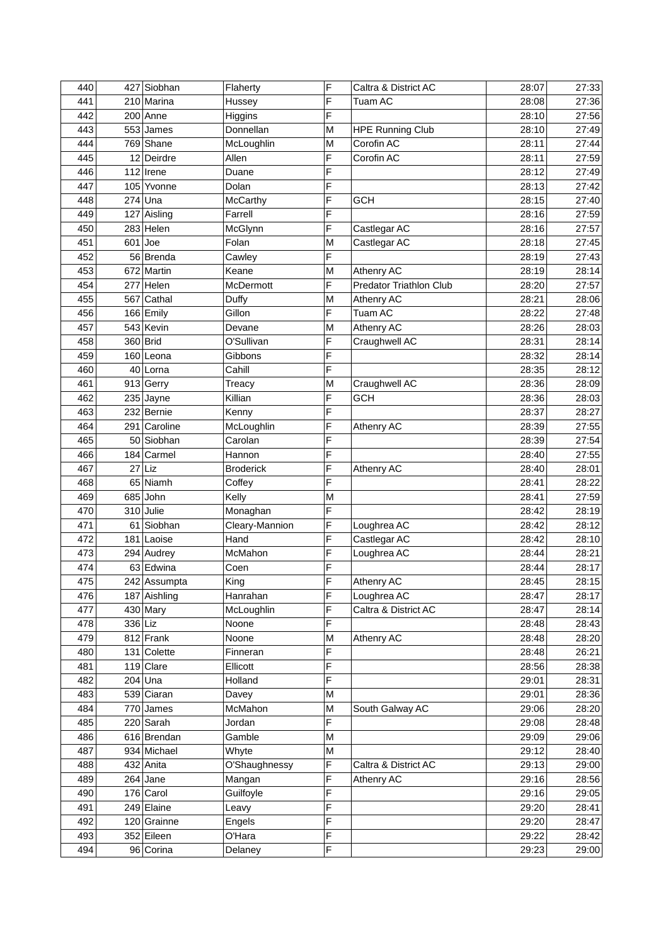| 440 |    | 427 Siobhan  | Flaherty         | F | Caltra & District AC           | 28:07 | 27:33 |
|-----|----|--------------|------------------|---|--------------------------------|-------|-------|
| 441 |    | 210 Marina   | Hussey           | F | Tuam AC                        | 28:08 | 27:36 |
| 442 |    | 200 Anne     | Higgins          | F |                                | 28:10 | 27:56 |
| 443 |    | 553 James    | Donnellan        | M | <b>HPE Running Club</b>        | 28:10 | 27:49 |
| 444 |    | 769 Shane    | McLoughlin       | M | Corofin AC                     | 28:11 | 27:44 |
| 445 |    | 12 Deirdre   | Allen            | F | Corofin AC                     | 28:11 | 27:59 |
| 446 |    | 112 Irene    | Duane            | F |                                | 28:12 | 27:49 |
| 447 |    | 105 Yvonne   | Dolan            | F |                                | 28:13 | 27:42 |
| 448 |    | $274$ Una    | McCarthy         | F | <b>GCH</b>                     | 28:15 | 27:40 |
| 449 |    | 127 Aisling  | Farrell          | F |                                | 28:16 | 27:59 |
| 450 |    | 283 Helen    | McGlynn          | F | Castlegar AC                   | 28:16 | 27:57 |
| 451 |    | $601$ Joe    | Folan            | M | Castlegar AC                   | 28:18 | 27:45 |
| 452 |    | 56 Brenda    | Cawley           | F |                                | 28:19 | 27:43 |
| 453 |    | 672 Martin   | Keane            | M | Athenry AC                     | 28:19 | 28:14 |
| 454 |    | 277 Helen    | McDermott        | F | <b>Predator Triathlon Club</b> | 28:20 | 27:57 |
| 455 |    | 567 Cathal   | Duffy            | M | Athenry AC                     | 28:21 | 28:06 |
| 456 |    | 166 Emily    | Gillon           | F | Tuam AC                        | 28:22 | 27:48 |
| 457 |    | 543 Kevin    | Devane           | M | Athenry AC                     | 28:26 | 28:03 |
| 458 |    | 360 Brid     | O'Sullivan       | F | Craughwell AC                  | 28:31 | 28:14 |
| 459 |    | 160 Leona    | Gibbons          | F |                                | 28:32 | 28:14 |
| 460 |    | 40 Lorna     | Cahill           | F |                                | 28:35 | 28:12 |
| 461 |    | 913 Gerry    | Treacy           | M | Craughwell AC                  | 28:36 | 28:09 |
| 462 |    | $235$ Jayne  | Killian          | F | <b>GCH</b>                     | 28:36 | 28:03 |
| 463 |    | 232 Bernie   | Kenny            | F |                                | 28:37 | 28:27 |
| 464 |    | 291 Caroline | McLoughlin       | F | Athenry AC                     | 28:39 | 27:55 |
| 465 |    | 50 Siobhan   | Carolan          | F |                                | 28:39 | 27:54 |
| 466 |    | 184 Carmel   | Hannon           | F |                                | 28:40 | 27:55 |
| 467 | 27 | Liz          | <b>Broderick</b> | F | Athenry AC                     | 28:40 | 28:01 |
| 468 |    | 65 Niamh     | Coffey           | F |                                | 28:41 | 28:22 |
| 469 |    | 685 John     | Kelly            | M |                                | 28:41 | 27:59 |
| 470 |    | 310 Julie    | Monaghan         | F |                                | 28:42 | 28:19 |
| 471 |    | 61 Siobhan   | Cleary-Mannion   | F | Loughrea AC                    | 28:42 | 28:12 |
| 472 |    | 181 Laoise   | Hand             | F | Castlegar AC                   | 28:42 | 28:10 |
| 473 |    | 294 Audrey   | McMahon          | F | Loughrea AC                    | 28:44 | 28:21 |
| 474 |    | 63 Edwina    | Coen             | F |                                | 28:44 | 28:17 |
| 475 |    | 242 Assumpta | King             | Ë | Athenry AC                     | 28:45 | 28:15 |
| 476 |    | 187 Aishling | Hanrahan         | F | Loughrea AC                    | 28:47 | 28:17 |
| 477 |    | 430 Mary     | McLoughlin       | F | Caltra & District AC           | 28:47 | 28:14 |
| 478 |    | 336 Liz      | Noone            | F |                                | 28:48 | 28:43 |
| 479 |    | $812$ Frank  | Noone            | M | Athenry AC                     | 28:48 | 28:20 |
| 480 |    | 131 Colette  | Finneran         | F |                                | 28:48 | 26:21 |
| 481 |    | $119$ Clare  | Ellicott         | F |                                | 28:56 | 28:38 |
| 482 |    | 204 Una      | Holland          | F |                                | 29:01 | 28:31 |
| 483 |    | 539 Ciaran   | Davey            | M |                                | 29:01 | 28:36 |
| 484 |    | 770 James    | McMahon          | М | South Galway AC                | 29:06 | 28:20 |
| 485 |    | 220 Sarah    | Jordan           | F |                                | 29:08 | 28:48 |
| 486 |    | 616 Brendan  | Gamble           | М |                                | 29:09 | 29:06 |
| 487 |    | 934 Michael  | Whyte            | M |                                | 29:12 | 28:40 |
| 488 |    | 432 Anita    | O'Shaughnessy    | F | Caltra & District AC           | 29:13 | 29:00 |
| 489 |    | $264$ Jane   | Mangan           | F | Athenry AC                     | 29:16 | 28:56 |
| 490 |    | 176 Carol    | Guilfoyle        | F |                                | 29:16 | 29:05 |
| 491 |    | 249 Elaine   | Leavy            | F |                                | 29:20 | 28:41 |
| 492 |    | 120 Grainne  | Engels           | F |                                | 29:20 | 28:47 |
| 493 |    | 352 Eileen   | O'Hara           | F |                                | 29:22 | 28:42 |
| 494 |    | 96 Corina    | Delaney          | F |                                | 29:23 | 29:00 |
|     |    |              |                  |   |                                |       |       |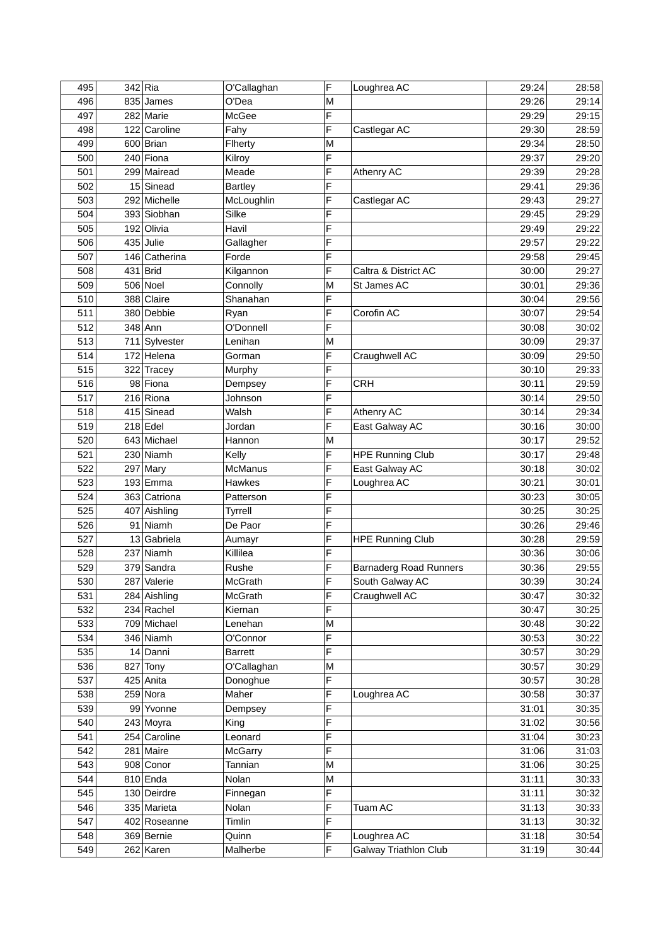| 495 | 342 Ria       | O'Callaghan        | F | Loughrea AC                   | 29:24 | 28:58 |
|-----|---------------|--------------------|---|-------------------------------|-------|-------|
| 496 | 835 James     | O'Dea              | M |                               | 29:26 | 29:14 |
| 497 | 282 Marie     | McGee              | F |                               | 29:29 | 29:15 |
| 498 | 122 Caroline  | Fahy               | F | Castlegar AC                  | 29:30 | 28:59 |
| 499 | 600 Brian     | Flherty            | M |                               | 29:34 | 28:50 |
| 500 | 240 Fiona     | Kilroy             | F |                               | 29:37 | 29:20 |
| 501 | 299 Mairead   | Meade              | F | Athenry AC                    | 29:39 | 29:28 |
| 502 | 15 Sinead     | <b>Bartley</b>     | F |                               | 29:41 | 29:36 |
| 503 | 292 Michelle  | McLoughlin         | F | Castlegar AC                  | 29:43 | 29:27 |
| 504 | 393 Siobhan   | Silke              | F |                               | 29:45 | 29:29 |
| 505 | 192 Olivia    | Havil              | F |                               | 29:49 | 29:22 |
| 506 | 435 Julie     | Gallagher          | F |                               | 29:57 | 29:22 |
| 507 | 146 Catherina | Forde              | F |                               | 29:58 | 29:45 |
| 508 | 431 Brid      | Kilgannon          | F | Caltra & District AC          | 30:00 | 29:27 |
| 509 | 506 Noel      | Connolly           | M | St James AC                   | 30:01 | 29:36 |
| 510 | 388 Claire    | Shanahan           | F |                               | 30:04 | 29:56 |
| 511 | 380 Debbie    | Ryan               | F | Corofin AC                    | 30:07 | 29:54 |
| 512 | 348 Ann       | O'Donnell          | F |                               | 30:08 | 30:02 |
| 513 | 711 Sylvester | Lenihan            | M |                               | 30:09 | 29:37 |
| 514 | 172 Helena    | Gorman             | F | Craughwell AC                 | 30:09 | 29:50 |
| 515 | 322 Tracey    | Murphy             | F |                               | 30:10 | 29:33 |
| 516 | 98 Fiona      |                    | F | <b>CRH</b>                    | 30:11 | 29:59 |
| 517 | 216 Riona     | Dempsey<br>Johnson | F |                               | 30:14 | 29:50 |
|     |               |                    | F |                               |       |       |
| 518 | 415 Sinead    | Walsh              | F | Athenry AC                    | 30:14 | 29:34 |
| 519 | $218$ Edel    | Jordan             |   | East Galway AC                | 30:16 | 30:00 |
| 520 | 643 Michael   | Hannon             | M |                               | 30:17 | 29:52 |
| 521 | 230 Niamh     | Kelly              | F | <b>HPE Running Club</b>       | 30:17 | 29:48 |
| 522 | 297 Mary      | <b>McManus</b>     | F | East Galway AC                | 30:18 | 30:02 |
| 523 | 193 Emma      | Hawkes             | F | Loughrea AC                   | 30:21 | 30:01 |
| 524 | 363 Catriona  | Patterson          | F |                               | 30:23 | 30:05 |
| 525 | 407 Aishling  | Tyrrell            | F |                               | 30:25 | 30:25 |
| 526 | 91 Niamh      | De Paor            | F |                               | 30:26 | 29:46 |
| 527 | 13 Gabriela   | Aumayr             | F | <b>HPE Running Club</b>       | 30:28 | 29:59 |
| 528 | 237 Niamh     | Killilea           | F |                               | 30:36 | 30:06 |
| 529 | 379 Sandra    | Rushe              | F | <b>Barnaderg Road Runners</b> | 30:36 | 29:55 |
| 530 | 287 Valerie   | McGrath            | E | South Galway AC               | 30:39 | 30:24 |
| 531 | 284 Aishling  | McGrath            | F | Craughwell AC                 | 30:47 | 30:32 |
| 532 | 234 Rachel    | Kiernan            | F |                               | 30:47 | 30:25 |
| 533 | 709 Michael   | Lenehan            | M |                               | 30:48 | 30:22 |
| 534 | 346 Niamh     | O'Connor           | F |                               | 30:53 | 30:22 |
| 535 | 14 Danni      | <b>Barrett</b>     | F |                               | 30:57 | 30:29 |
| 536 | 827 Tony      | O'Callaghan        | М |                               | 30:57 | 30:29 |
| 537 | 425 Anita     | Donoghue           | F |                               | 30:57 | 30:28 |
| 538 | 259 Nora      | Maher              | F | Loughrea AC                   | 30:58 | 30:37 |
| 539 | 99 Yvonne     | Dempsey            | F |                               | 31:01 | 30:35 |
| 540 | 243 Moyra     | King               | F |                               | 31:02 | 30:56 |
| 541 | 254 Caroline  | Leonard            | F |                               | 31:04 | 30:23 |
| 542 | 281 Maire     | <b>McGarry</b>     | F |                               | 31:06 | 31:03 |
| 543 | 908 Conor     | Tannian            | M |                               | 31:06 | 30:25 |
| 544 | 810 Enda      | Nolan              | M |                               | 31:11 | 30:33 |
| 545 | 130 Deirdre   | Finnegan           | F |                               | 31:11 | 30:32 |
| 546 | 335 Marieta   | Nolan              | F | Tuam AC                       | 31:13 | 30:33 |
| 547 | 402 Roseanne  | Timlin             | F |                               | 31:13 | 30:32 |
| 548 | 369 Bernie    | Quinn              | F | Loughrea AC                   | 31:18 | 30:54 |
| 549 | 262 Karen     | Malherbe           | F | <b>Galway Triathlon Club</b>  | 31:19 | 30:44 |
|     |               |                    |   |                               |       |       |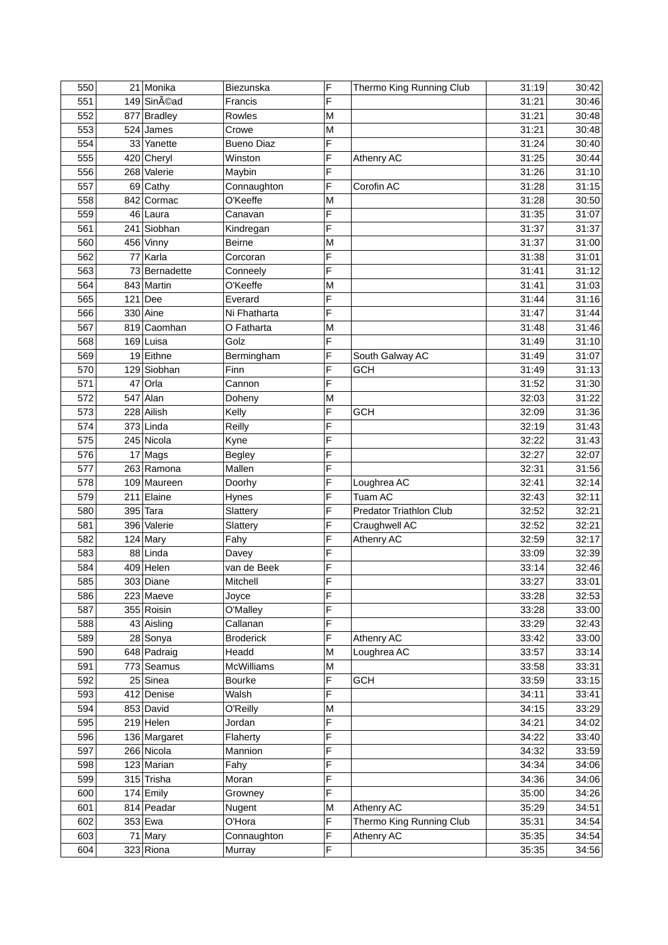| 550 |     | 21 Monika     | <b>Biezunska</b>     | F      | Thermo King Running Club | 31:19 | 30:42 |
|-----|-----|---------------|----------------------|--------|--------------------------|-------|-------|
| 551 |     | 149 Sinéad    | Francis              | F      |                          | 31:21 | 30:46 |
| 552 |     | 877 Bradley   | Rowles               | M      |                          | 31:21 | 30:48 |
| 553 |     | 524 James     | Crowe                | M      |                          | 31:21 | 30:48 |
| 554 |     | 33 Yanette    | <b>Bueno Diaz</b>    | F      |                          | 31:24 | 30:40 |
| 555 |     | 420 Cheryl    | Winston              | F      | Athenry AC               | 31:25 | 30:44 |
| 556 |     | 268 Valerie   | Maybin               | F      |                          | 31:26 | 31:10 |
| 557 |     | 69 Cathy      | Connaughton          | F      | Corofin AC               | 31:28 | 31:15 |
| 558 | 842 | Cormac        | O'Keeffe             | M      |                          | 31:28 | 30:50 |
| 559 |     | 46 Laura      | Canavan              | F      |                          | 31:35 | 31:07 |
| 561 |     | 241 Siobhan   | Kindregan            | F      |                          | 31:37 | 31:37 |
| 560 |     | 456 Vinny     | Beirne               | M      |                          | 31:37 | 31:00 |
| 562 |     | 77 Karla      | Corcoran             | F      |                          | 31:38 | 31:01 |
| 563 |     | 73 Bernadette | Conneely             | F      |                          | 31:41 | 31:12 |
| 564 |     | 843 Martin    | O'Keeffe             | M      |                          | 31:41 | 31:03 |
| 565 |     | $121$ Dee     | Everard              | F      |                          | 31:44 | 31:16 |
| 566 |     | 330 Aine      | Ni Fhatharta         | F      |                          | 31:47 | 31:44 |
| 567 |     | 819 Caomhan   | O Fatharta           | M      |                          | 31:48 | 31:46 |
| 568 |     | 169 Luisa     | Golz                 | F      |                          | 31:49 | 31:10 |
| 569 |     | 19 Eithne     | Bermingham           | F      | South Galway AC          | 31:49 | 31:07 |
| 570 |     | 129 Siobhan   | Finn                 | F      | <b>GCH</b>               | 31:49 | 31:13 |
| 571 | 47  | Orla          | Cannon               | F      |                          | 31:52 | 31:30 |
| 572 |     | 547 Alan      | Doheny               | M      |                          | 32:03 | 31:22 |
| 573 |     | 228 Ailish    | Kelly                | F      | <b>GCH</b>               | 32:09 | 31:36 |
| 574 |     | 373 Linda     | Reilly               | F      |                          | 32:19 | 31:43 |
| 575 |     | 245 Nicola    | Kyne                 | F      |                          | 32:22 | 31:43 |
| 576 |     | 17 Mags       | <b>Begley</b>        | F      |                          | 32:27 | 32:07 |
| 577 |     | 263 Ramona    | Mallen               | F      |                          | 32:31 | 31:56 |
| 578 |     | 109 Maureen   | Doorhy               | F      | Loughrea AC              | 32:41 | 32:14 |
| 579 |     | 211 Elaine    |                      | F      | Tuam AC                  | 32:43 | 32:11 |
| 580 |     | 395 Tara      | Hynes                | F      | Predator Triathlon Club  | 32:52 | 32:21 |
| 581 |     | 396 Valerie   | Slattery<br>Slattery | F      | Craughwell AC            | 32:52 | 32:21 |
| 582 |     | 124 Mary      |                      | F      | Athenry AC               | 32:59 | 32:17 |
| 583 |     | $88$ Linda    | Fahy<br>Davey        | F      |                          | 33:09 | 32:39 |
|     |     |               |                      | F      |                          |       |       |
| 584 |     | 409 Helen     | van de Beek          | F      |                          | 33:14 | 32:46 |
| 585 |     | 303 Diane     | Mitchell             |        |                          | 33:27 | 33:01 |
| 586 |     | 223 Maeve     | Joyce                | F<br>F |                          | 33:28 | 32:53 |
| 587 |     | 355 Roisin    | O'Malley             | F      |                          | 33:28 | 33:00 |
| 588 |     | 43 Aisling    | Callanan             |        |                          | 33:29 | 32:43 |
| 589 |     | 28 Sonya      | <b>Broderick</b>     | F      | Athenry AC               | 33:42 | 33:00 |
| 590 |     | 648 Padraig   | Headd                | M      | Loughrea AC              | 33:57 | 33:14 |
| 591 |     | 773 Seamus    | <b>McWilliams</b>    | М      |                          | 33:58 | 33:31 |
| 592 |     | 25 Sinea      | <b>Bourke</b>        | F      | <b>GCH</b>               | 33:59 | 33:15 |
| 593 |     | 412 Denise    | Walsh                | F      |                          | 34:11 | 33:41 |
| 594 |     | 853 David     | O'Reilly             | М      |                          | 34:15 | 33:29 |
| 595 |     | 219 Helen     | Jordan               | F      |                          | 34:21 | 34:02 |
| 596 |     | 136 Margaret  | Flaherty             | F      |                          | 34:22 | 33:40 |
| 597 |     | 266 Nicola    | Mannion              | F      |                          | 34:32 | 33:59 |
| 598 |     | 123 Marian    | Fahy                 | F      |                          | 34:34 | 34:06 |
| 599 |     | 315 Trisha    | Moran                | F      |                          | 34:36 | 34:06 |
| 600 |     | 174 Emily     | Growney              | F      |                          | 35:00 | 34:26 |
| 601 |     | 814 Peadar    | Nugent               | M      | Athenry AC               | 35:29 | 34:51 |
| 602 |     | 353 Ewa       | O'Hora               | F      | Thermo King Running Club | 35:31 | 34:54 |
| 603 |     | 71 Mary       | Connaughton          | F      | Athenry AC               | 35:35 | 34:54 |
| 604 |     | 323 Riona     | Murray               | F      |                          | 35:35 | 34:56 |